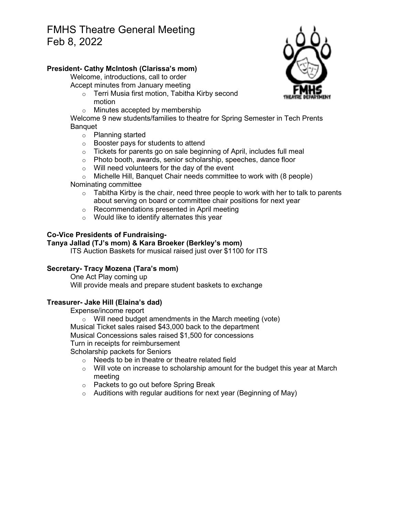# FMHS Theatre General Meeting Feb 8, 2022

# **President- Cathy McIntosh (Clarissa's mom)**

Welcome, introductions, call to order Accept minutes from January meeting

- o Terri Musia first motion, Tabitha Kirby second motion
- o Minutes accepted by membership

Welcome 9 new students/families to theatre for Spring Semester in Tech Prents Banquet

- o Planning started
- o Booster pays for students to attend
- $\circ$  Tickets for parents go on sale beginning of April, includes full meal
- o Photo booth, awards, senior scholarship, speeches, dance floor
- o Will need volunteers for the day of the event
- o Michelle Hill, Banquet Chair needs committee to work with (8 people)

### Nominating committee

- $\circ$  Tabitha Kirby is the chair, need three people to work with her to talk to parents about serving on board or committee chair positions for next year
- o Recommendations presented in April meeting
- o Would like to identify alternates this year

# **Co-Vice Presidents of Fundraising-**

### **Tanya Jallad (TJ's mom) & Kara Broeker (Berkley's mom)**

ITS Auction Baskets for musical raised just over \$1100 for ITS

# **Secretary- Tracy Mozena (Tara's mom)**

One Act Play coming up Will provide meals and prepare student baskets to exchange

# **Treasurer- Jake Hill (Elaina's dad)**

Expense/income report

o Will need budget amendments in the March meeting (vote) Musical Ticket sales raised \$43,000 back to the department Musical Concessions sales raised \$1,500 for concessions Turn in receipts for reimbursement Scholarship packets for Seniors

- $\circ$  Needs to be in theatre or theatre related field
- $\circ$  Will vote on increase to scholarship amount for the budget this year at March meeting
- o Packets to go out before Spring Break
- $\circ$  Auditions with regular auditions for next year (Beginning of May)

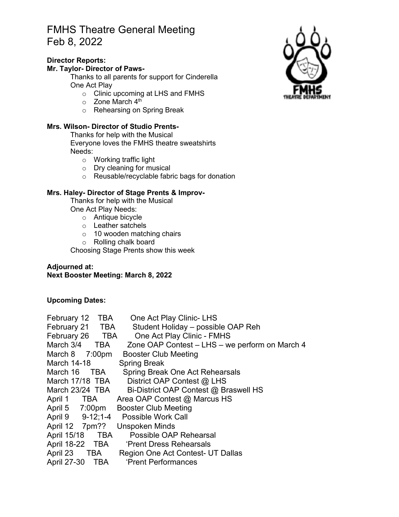# FMHS Theatre General Meeting Feb 8, 2022

## **Director Reports:**

#### **Mr. Taylor- Director of Paws-**

Thanks to all parents for support for Cinderella One Act Play

- o Clinic upcoming at LHS and FMHS
- $\circ$  Zone March 4<sup>th</sup>
- o Rehearsing on Spring Break

### **Mrs. Wilson- Director of Studio Prents-**

Thanks for help with the Musical Everyone loves the FMHS theatre sweatshirts Needs:

- o Working traffic light
- o Dry cleaning for musical
- o Reusable/recyclable fabric bags for donation

### **Mrs. Haley- Director of Stage Prents & Improv-**

Thanks for help with the Musical One Act Play Needs:

- o Antique bicycle
- o Leather satchels
- o 10 wooden matching chairs
- o Rolling chalk board

Choosing Stage Prents show this week

# **Adjourned at: Next Booster Meeting: March 8, 2022**

### **Upcoming Dates:**

| February 12 TBA    |       | One Act Play Clinic- LHS                           |
|--------------------|-------|----------------------------------------------------|
| February 21 TBA    |       | Student Holiday - possible OAP Reh                 |
|                    |       | February 26 TBA One Act Play Clinic - FMHS         |
| March 3/4          |       | TBA Zone OAP Contest – LHS – we perform on March 4 |
| March $8$ 7:00pm   |       | <b>Booster Club Meeting</b>                        |
| <b>March 14-18</b> |       | <b>Spring Break</b>                                |
| March 16           | TBA T | Spring Break One Act Rehearsals                    |
| March 17/18 TBA    |       | District OAP Contest @ LHS                         |
| March 23/24 TBA    |       | Bi-District OAP Contest @ Braswell HS              |
| April 1 TBA        |       | Area OAP Contest @ Marcus HS                       |
|                    |       | April 5 7:00pm Booster Club Meeting                |
|                    |       | April 9 9-12;1-4 Possible Work Call                |
| April 12 7pm??     |       | <b>Unspoken Minds</b>                              |
| April 15/18 TBA    |       | Possible OAP Rehearsal                             |
|                    |       | April 18-22 TBA 'Prent Dress Rehearsals            |
|                    |       | April 23 TBA Region One Act Contest- UT Dallas     |
|                    |       | April 27-30 TBA 'Prent Performances                |
|                    |       |                                                    |